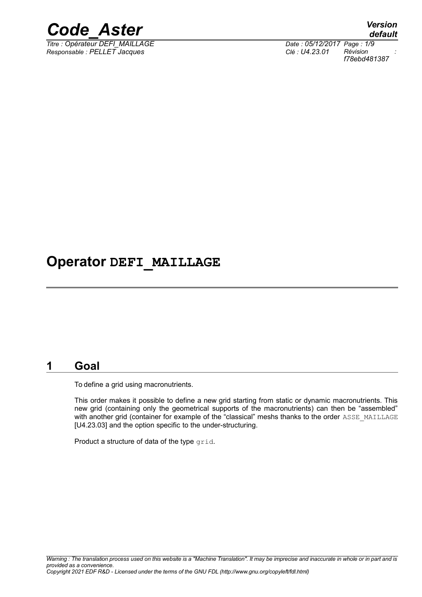

*Titre : Opérateur DEFI\_MAILLAGE Date : 05/12/2017 Page : 1/9 Responsable : PELLET Jacques Clé : U4.23.01 Révision :*

*default f78ebd481387*

### **Operator DEFI\_MAILLAGE**

#### **1 Goal**

To define a grid using macronutrients.

This order makes it possible to define a new grid starting from static or dynamic macronutrients. This new grid (containing only the geometrical supports of the macronutrients) can then be "assembled" with another grid (container for example of the "classical" meshs thanks to the order ASSE\_MAILLAGE [U4.23.03] and the option specific to the under-structuring.

Product a structure of data of the type grid.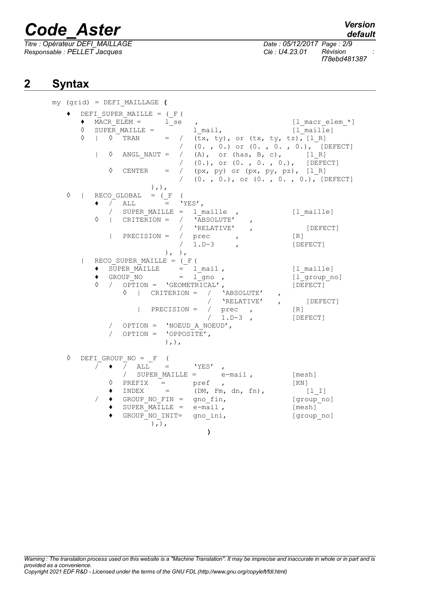*Titre : Opérateur DEFI\_MAILLAGE Date : 05/12/2017 Page : 2/9 Responsable : PELLET Jacques Clé : U4.23.01 Révision :*

## *default*

*f78ebd481387*

### **2 Syntax**

my (grid) = DEFI\_MAILLAGE **(** ♦ DEFI\_SUPER\_MAILLE = (\_F (  $\bigstar$  MACR ELEM =  $\overline{1}$  se ,  $\qquad \qquad$  [l\_macr\_elem\_\*]  $\begin{array}{ccc} \lozenge & \text{SUPER}} \text{ MAILLE} = & \begin{array}{ccc} 1 \text{ mail}, & \text{if} \end{array} \\ \lozenge & | & \lozenge \text{ TRAN} & = / & (\text{tx}, \text{ ty}), \text{ or } (\text{tx}, \text{ tv}, \text{ tz}), \text{if} \text{ R} \end{array}$  $\Diamond$  |  $\Diamond$  TRAN = / (tx, ty), or (tx, ty, tz), [1 R] / (0. , 0.) or (0. , 0. , 0.), [DEFECT]  $|\quad \lozenge$  ANGL\_NAUT = / (A), or (has, B, c), [l\_R] / (0.), or (0. , 0. , 0.), [DEFECT]  $\Diamond$  CENTER = / (px, py) or (px, py, pz), [lR] / (0. , 0.), or (0. , 0. , 0.), [DEFECT] ),),  $\Diamond$  | RECO GLOBAL = ( $F$  (  $\begin{array}{ccccc} \bullet & / & \text{ALL} & = & \text{YES'} , \\ & / & \text{SUBER MATILER} & = & 1 \end{array}$  $SupER$  *MAILLE* = 1 *maille* , [l *maille*]◊ | CRITERION = / 'ABSOLUTE' , / 'RELATIVE' ,<br>
/ prec , [R]  $|\text{ PRECISION} = / \text{prec}$  ,  $[R]$ <br> $/ 1 \cdot D - 3$  ,  $[PE]$ 1.D-3 , [DEFECT]  $),$  ), | RECO\_SUPER\_MAILLE = (\_F (  $\begin{array}{lll} \text{\textbullet} & \text{Super Max}} & \text{Super Max} \\ \text{\textbullet} & \text{Group No} & = & \text{1\_mo} \end{array}$  ,  $\begin{array}{lll} \text{[1\_maille]} \\ \text{[1\_group no]} \end{array}$  $\begin{array}{lllll} \bullet & \text{GROUP}^- \text{NO} & = & \overset{\text{---}}{\text{I}} \text{gno} & , & & \text{[1\_group]} \ \lozenge & / & \text{OPTION} & = & \text{VGEOMETRICAL'} & , & & \text{[DEFECT]} \end{array}$  $\Diamond$  / OPTION = 'GEOMETRICAL', ◊ | CRITERION = / 'ABSOLUTE' , 'RELATIVE' , [DEFECT] | PRECISION = / prec , [R] / 1.D-3 , [DEFECT] / OPTION = 'NOEUD A NOEUD', / OPTION =  $'OPPOSITE'$ ,  $)$ ,  $)$ ,  $\Diamond$  DEFIGROUP\_NO =  $_F$  (  $\bullet$   $\overline{}/$  ALL = 'YES' , / SUPER MAILLE = e-mail , [mesh]  $\Diamond$  PREFIX = pref , [KN]  $\bullet$  INDEX = (DM, Fm, dn, fn), [l\_I] / ♦ GROUP\_NO\_FIN = gno\_fin, [group\_no]  $\bullet$  SUPER MAILLE = e-mail,  $[mesh]$ ♦ GROUP\_NO\_INIT= gno\_ini, [group\_no] ),), **)**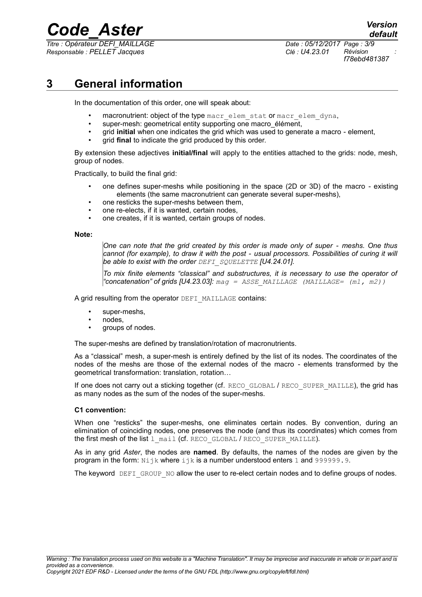*Titre : Opérateur DEFI\_MAILLAGE Date : 05/12/2017 Page : 3/9 Responsable : PELLET Jacques Clé : U4.23.01 Révision :*

*default*

*f78ebd481387*

### **3 General information**

In the documentation of this order, one will speak about:

- macronutrient: object of the type macr\_elem\_stat or macr\_elem\_dyna,
- super-mesh: geometrical entity supporting one macro élément,
- grid **initial** when one indicates the grid which was used to generate a macro element,
- grid **final** to indicate the grid produced by this order.

By extension these adjectives **initial/final** will apply to the entities attached to the grids: node, mesh, group of nodes.

Practically, to build the final grid:

- one defines super-meshs while positioning in the space (2D or 3D) of the macro existing elements (the same macronutrient can generate several super-meshs),
- one resticks the super-meshs between them,
- one re-elects, if it is wanted, certain nodes.
- one creates, if it is wanted, certain groups of nodes.

#### **Note:**

*One can note that the grid created by this order is made only of super - meshs. One thus cannot (for example), to draw it with the post - usual processors. Possibilities of curing it will be able to exist with the order DEFI\_SQUELETTE [U4.24.01].*

*To mix finite elements "classical" and substructures, it is necessary to use the operator of "concatenation" of grids [U4.23.03]: mag = ASSE\_MAILLAGE (MAILLAGE= (m1, m2))*

A grid resulting from the operator DEFI\_MAILLAGE contains:

- super-meshs,
- nodes,
- groups of nodes.

The super-meshs are defined by translation/rotation of macronutrients.

As a "classical" mesh, a super-mesh is entirely defined by the list of its nodes. The coordinates of the nodes of the meshs are those of the external nodes of the macro - elements transformed by the geometrical transformation: translation, rotation…

If one does not carry out a sticking together (cf. RECO\_GLOBAL / RECO\_SUPER\_MAILLE), the grid has as many nodes as the sum of the nodes of the super-meshs.

#### **C1 convention:**

When one "resticks" the super-meshs, one eliminates certain nodes. By convention, during an elimination of coinciding nodes, one preserves the node (and thus its coordinates) which comes from the first mesh of the list 1 mail (cf. RECO\_GLOBAL / RECO\_SUPER\_MAILLE).

As in any grid *Aster*, the nodes are **named**. By defaults, the names of the nodes are given by the program in the form:  $N$ ijk where  $ijk$  is a number understood enters 1 and 999999.9.

The keyword DEFI GROUP NO allow the user to re-elect certain nodes and to define groups of nodes.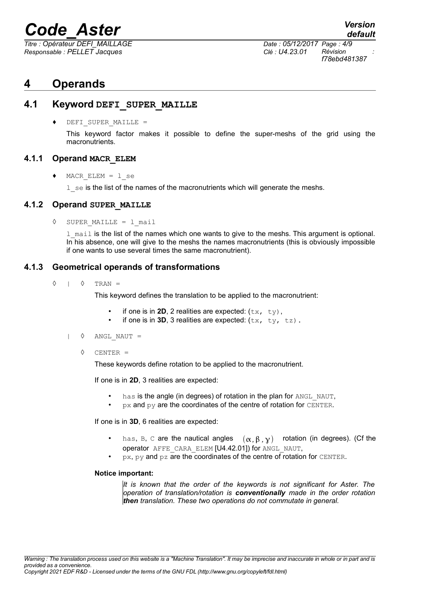*Titre : Opérateur DEFI\_MAILLAGE Date : 05/12/2017 Page : 4/9 Responsable : PELLET Jacques Clé : U4.23.01 Révision :*

### **4 Operands**

#### **4.1 Keyword DEFI\_SUPER\_MAILLE**

DEFI\_SUPER\_MAILLE =

This keyword factor makes it possible to define the super-meshs of the grid using the macronutrients.

#### **4.1.1 Operand MACR\_ELEM**

 $MACR$  ELEM =  $l$  se

1 se is the list of the names of the macronutrients which will generate the meshs.

#### **4.1.2 Operand SUPER\_MAILLE**

◊ SUPER\_MAILLE = l\_mail

1 mail is the list of the names which one wants to give to the meshs. This argument is optional. In his absence, one will give to the meshs the names macronutrients (this is obviously impossible if one wants to use several times the same macronutrient).

#### **4.1.3 Geometrical operands of transformations**

 $\Diamond$  |  $\Diamond$  TRAN =

This keyword defines the translation to be applied to the macronutrient:

- if one is in **2D**, 2 realities are expected:  $(\pm x, \pm y)$ ,
- if one is in **3D**, 3 realities are expected:  $(tx, ty, tz)$ .
- $|\quad \Diamond \quad$  ANGL NAUT =
	- ◊ CENTER =

These keywords define rotation to be applied to the macronutrient.

If one is in **2D**, 3 realities are expected:

- has is the angle (in degrees) of rotation in the plan for ANGL NAUT,
- $px$  and  $py$  are the coordinates of the centre of rotation for CENTER.

If one is in **3D**, 6 realities are expected:

- has, B, C are the nautical angles  $(\alpha, \beta, \gamma)$  rotation (in degrees). (Cf the operator AFFE\_CARA\_ELEM [U4.42.01]) for ANGL\_NAUT,
- px, py and pz are the coordinates of the centre of rotation for CENTER.

#### **Notice important:**

*It is known that the order of the keywords is not significant for Aster. The operation of translation/rotation is conventionally made in the order rotation then translation. These two operations do not commutate in general.*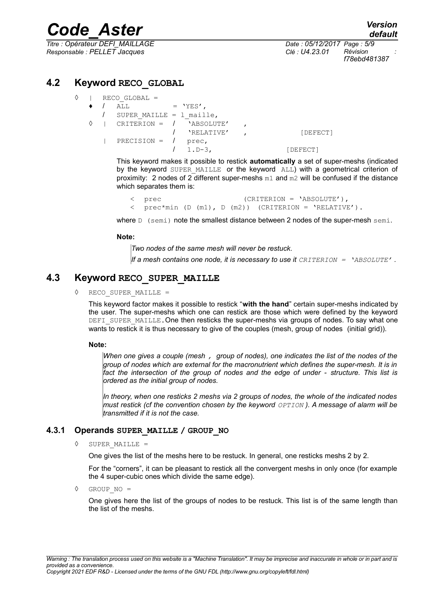*Titre : Opérateur DEFI\_MAILLAGE Date : 05/12/2017 Page : 5/9 Responsable : PELLET Jacques Clé : U4.23.01 Révision :*

*f78ebd481387*

#### **4.2 Keyword RECO\_GLOBAL**

|  | $RECO GLOBAL =$ |                            |  |            |  |          |
|--|-----------------|----------------------------|--|------------|--|----------|
|  |                 | ALL                        |  | $=$ 'YES', |  |          |
|  |                 | SUPER MAILLE = $1$ maille, |  |            |  |          |
|  |                 | CRITERION = $/$ 'ABSOLUTE' |  |            |  |          |
|  |                 |                            |  | 'RELATIVE' |  | [DEFECT] |
|  |                 | $PRECISION =$              |  | prec,      |  |          |
|  |                 |                            |  | $1.D-3.$   |  | [DEFECT] |

This keyword makes it possible to restick **automatically** a set of super-meshs (indicated by the keyword SUPER MAILLE or the keyword ALL) with a geometrical criterion of proximity: 2 nodes of 2 different super-meshs  $m1$  and  $m2$  will be confused if the distance which separates them is:

< prec (CRITERION = 'ABSOLUTE'), < prec\*min (D (m1), D (m2)) (CRITERION = 'RELATIVE').

where D (semi) note the smallest distance between 2 nodes of the super-mesh semi.

#### **Note:**

*Two nodes of the same mesh will never be restuck.*

*If a mesh contains one node, it is necessary to use it CRITERION = 'ABSOLUTE' .*

#### **4.3 Keyword RECO\_SUPER\_MAILLE**

◊ RECO\_SUPER\_MAILLE =

This keyword factor makes it possible to restick "**with the hand**" certain super-meshs indicated by the user. The super-meshs which one can restick are those which were defined by the keyword DEFI\_SUPER\_MAILLE. One then resticks the super-meshs via groups of nodes. To say what one wants to restick it is thus necessary to give of the couples (mesh, group of nodes (initial grid)).

#### **Note:**

*When one gives a couple (mesh , group of nodes), one indicates the list of the nodes of the group of nodes which are external for the macronutrient which defines the super-mesh. It is in fact the intersection of the group of nodes and the edge of under - structure. This list is ordered as the initial group of nodes.*

*In theory, when one resticks 2 meshs via 2 groups of nodes, the whole of the indicated nodes must restick (cf the convention chosen by the keyword*  $OPTION$ *). A message of alarm will be transmitted if it is not the case.*

#### **4.3.1 Operands SUPER\_MAILLE / GROUP\_NO**

◊ SUPER\_MAILLE =

One gives the list of the meshs here to be restuck. In general, one resticks meshs 2 by 2.

For the "corners", it can be pleasant to restick all the convergent meshs in only once (for example the 4 super-cubic ones which divide the same edge).

◊ GROUP\_NO =

One gives here the list of the groups of nodes to be restuck. This list is of the same length than the list of the meshs.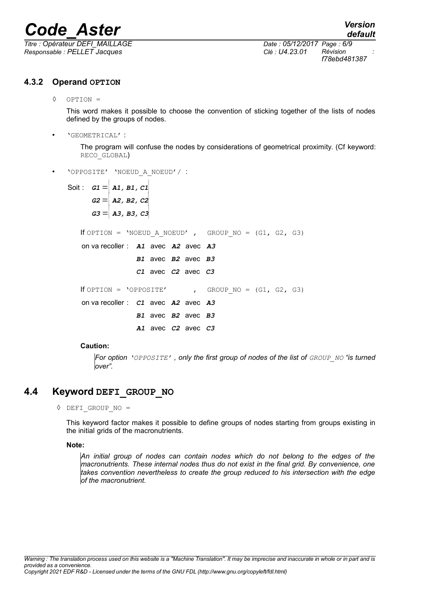*Titre : Opérateur DEFI\_MAILLAGE Date : 05/12/2017 Page : 6/9 Responsable : PELLET Jacques Clé : U4.23.01 Révision :*

*f78ebd481387*

#### **4.3.2 Operand OPTION**

◊ OPTION =

This word makes it possible to choose the convention of sticking together of the lists of nodes defined by the groups of nodes.

• 'GEOMETRICAL' :

The program will confuse the nodes by considerations of geometrical proximity. (Cf keyword: RECO\_GLOBAL)

• 'OPPOSITE' 'NOEUD\_A\_NOEUD'/ :

Soit :  $G1 = \begin{vmatrix} A1, B1, C1 \end{vmatrix}$  $G2 = \begin{bmatrix} \overline{A2}, \overline{B2}, \overline{C2} \end{bmatrix}$  $G3 = \begin{bmatrix} \overline{A3}, \overline{B3}, \overline{C3} \end{bmatrix}$ If OPTION = 'NOEUD A NOEUD' , GROUP NO =  $(G1, G2, G3)$ on va recoller : **A1** avec **A2** avec **A3** 

avec avec **B1 B2 B3**

If OPTION = 'OPPOSITE' , GROUP NO =  $(G1, G2, G3)$ 

on va recoller :  $C1$  avec  $A2$  avec  $A3$ avec avec **B1 B2 B3**

**A1** avec *C2* avec *C3* 

avec avec **C1 C2 C3**

#### **Caution:**

*For option 'OPPOSITE' , only the first group of nodes of the list of GROUP\_NO "is turned over".*

#### **4.4 Keyword DEFI\_GROUP\_NO**

◊ DEFI\_GROUP\_NO =

This keyword factor makes it possible to define groups of nodes starting from groups existing in the initial grids of the macronutrients.

#### **Note:**

*An initial group of nodes can contain nodes which do not belong to the edges of the macronutrients. These internal nodes thus do not exist in the final grid. By convenience, one takes convention nevertheless to create the group reduced to his intersection with the edge of the macronutrient.*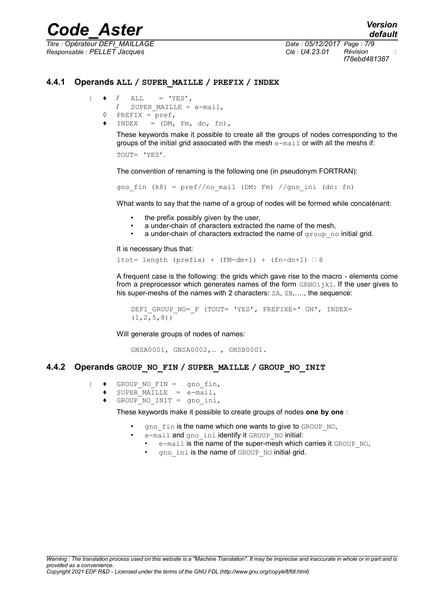*Titre : Opérateur DEFI\_MAILLAGE Date : 05/12/2017 Page : 7/9 Responsable : PELLET Jacques Clé : U4.23.01 Révision :*

*f78ebd481387*

#### **4.4.1 Operands ALL / SUPER\_MAILLE / PREFIX / INDEX**

$$
|\qquad \bullet \qquad / \qquad \text{ALL} \qquad = \text{ 'YES' },
$$

```
/ SUPER_MAILLE = e-mail,
```
- $\Diamond$  PREFIX = pref,
- $INDEX = (DM, Em, dn, fn),$

These keywords make it possible to create all the groups of nodes corresponding to the groups of the initial grid associated with the mesh  $e$ -mail or with all the meshs if:

TOUT= 'YES'.

The convention of renaming is the following one (in pseudonym FORTRAN):

gno fin (k8) =  $pref//no$  mail (DM: Fm) //gno\_ini (dn: fn)

What wants to say that the name of a group of nodes will be formed while concaténant:

- the prefix possibly given by the user,
- a under-chain of characters extracted the name of the mesh,
- a under-chain of characters extracted the name of  $q$ roup no initial grid.

It is necessary thus that:

ltot= length (prefix) + (FM-dm+1) + (fn-dn+1)  $\Box$  8

A frequent case is the following: the grids which gave rise to the macro - elements come from a preprocessor which generates names of the form  $GRNO$ ijkl. If the user gives to his super-meshs of the names with 2 characters: SA, SB,...., the sequence:

```
DEFI_GROUP_NO=_F (TOUT= 'YES', PREFIXE=' GN', INDEX=
(1, 2, 5, 8)
```
Will generate groups of nodes of names:

GNSA0001, GNSA0002,… , GNSB0001.

#### **4.4.2 Operands GROUP\_NO\_FIN / SUPER\_MAILLE / GROUP\_NO\_INIT**

- | ♦ GROUP\_NO\_FIN = gno\_fin,
	- $SUPER$  MAILLE =  $e$ -mail,
		- $GROUP$ NO INIT = gno ini,

These keywords make it possible to create groups of nodes **one by one** :

- gno fin is the name which one wants to give to GROUP NO,
- e-mail and gno ini identify it GROUP NO initial:
	- e-mail is the name of the super-mesh which carries it GROUP NO.
	- gno ini is the name of GROUP NO initial grid.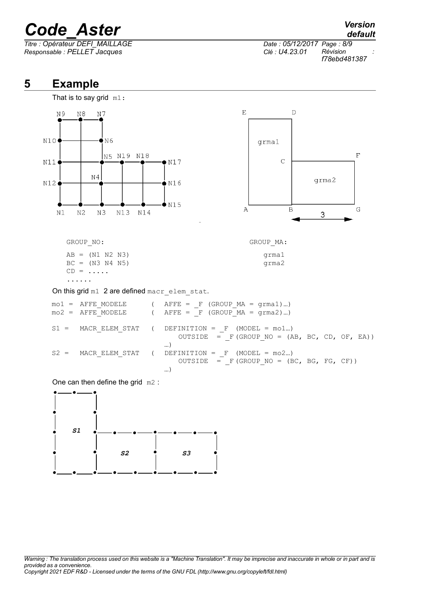*Titre : Opérateur DEFI\_MAILLAGE Date : 05/12/2017 Page : 8/9 Responsable : PELLET Jacques Clé : U4.23.01 Révision :*

## *default*

*f78ebd481387*

### **5 Example**



One can then define the grid m2 :



…)

*Warning : The translation process used on this website is a "Machine Translation". It may be imprecise and inaccurate in whole or in part and is provided as a convenience. Copyright 2021 EDF R&D - Licensed under the terms of the GNU FDL (http://www.gnu.org/copyleft/fdl.html)*